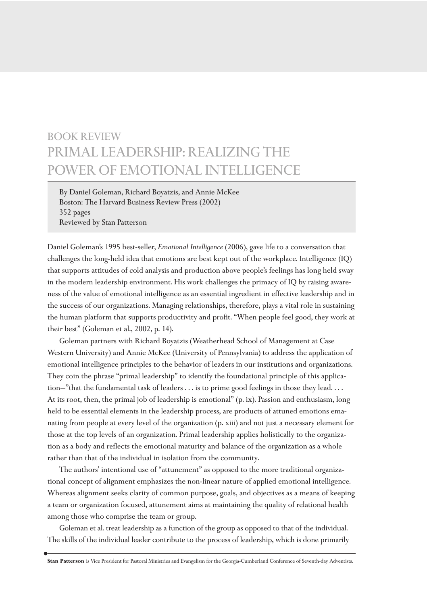## BOOK REVIEW PRIMAL LEADERSHIP: REALIZING THE POWER OF EMOTIONAL INTELLIGENCE

By Daniel Goleman, Richard Boyatzis, and Annie McKee Boston: The Harvard Business Review Press (2002) 352 pages Reviewed by Stan Patterson

Daniel Goleman's 1995 best-seller, *Emotional Intelligence* (2006), gave life to a conversation that challenges the long-held idea that emotions are best kept out of the workplace. Intelligence (IQ) that supports attitudes of cold analysis and production above people's feelings has long held sway in the modern leadership environment. His work challenges the primacy of IQ by raising awareness of the value of emotional intelligence as an essential ingredient in effective leadership and in the success of our organizations. Managing relationships, therefore, plays a vital role in sustaining the human platform that supports productivity and profit. "When people feel good, they work at their best" (Goleman et al., 2002, p. 14).

Goleman partners with Richard Boyatzis (Weatherhead School of Management at Case Western University) and Annie McKee (University of Pennsylvania) to address the application of emotional intelligence principles to the behavior of leaders in our institutions and organizations. They coin the phrase "primal leadership" to identify the foundational principle of this application—"that the fundamental task of leaders . . . is to prime good feelings in those they lead. . . . At its root, then, the primal job of leadership is emotional" (p. ix). Passion and enthusiasm, long held to be essential elements in the leadership process, are products of attuned emotions emanating from people at every level of the organization (p. xiii) and not just a necessary element for those at the top levels of an organization. Primal leadership applies holistically to the organization as a body and reflects the emotional maturity and balance of the organization as a whole rather than that of the individual in isolation from the community.

The authors' intentional use of "attunement" as opposed to the more traditional organizational concept of alignment emphasizes the non-linear nature of applied emotional intelligence. Whereas alignment seeks clarity of common purpose, goals, and objectives as a means of keeping a team or organization focused, attunement aims at maintaining the quality of relational health among those who comprise the team or group.

Goleman et al. treat leadership as a function of the group as opposed to that of the individual. The skills of the individual leader contribute to the process of leadership, which is done primarily

**Stan Patterson** is Vice President for Pastoral Ministries and Evangelism for the Georgia-Cumberland Conference of Seventh-day Adventists.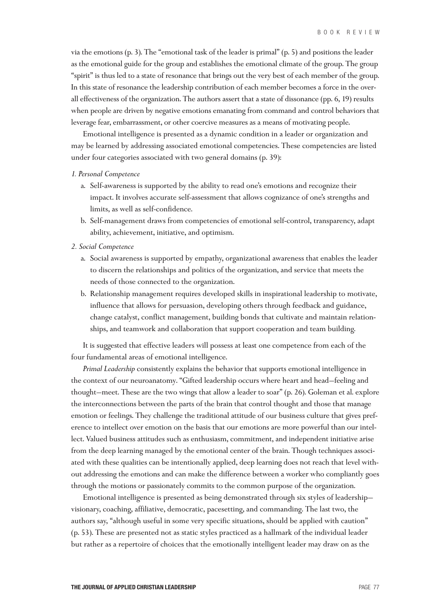via the emotions (p. 3). The "emotional task of the leader is primal" (p. 5) and positions the leader as the emotional guide for the group and establishes the emotional climate of the group. The group "spirit" is thus led to a state of resonance that brings out the very best of each member of the group. In this state of resonance the leadership contribution of each member becomes a force in the overall effectiveness of the organization. The authors assert that a state of dissonance (pp. 6, 19) results when people are driven by negative emotions emanating from command and control behaviors that leverage fear, embarrassment, or other coercive measures as a means of motivating people.

Emotional intelligence is presented as a dynamic condition in a leader or organization and may be learned by addressing associated emotional competencies. These competencies are listed under four categories associated with two general domains (p. 39):

## *1. Personal Competence*

- a. Self-awareness is supported by the ability to read one's emotions and recognize their impact. It involves accurate self-assessment that allows cognizance of one's strengths and limits, as well as self-confidence.
- b. Self-management draws from competencies of emotional self-control, transparency, adapt ability, achievement, initiative, and optimism.
- *2. Social Competence*
	- a. Social awareness is supported by empathy, organizational awareness that enables the leader to discern the relationships and politics of the organization, and service that meets the needs of those connected to the organization.
	- b. Relationship management requires developed skills in inspirational leadership to motivate, influence that allows for persuasion, developing others through feedback and guidance, change catalyst, conflict management, building bonds that cultivate and maintain relationships, and teamwork and collaboration that support cooperation and team building.

It is suggested that effective leaders will possess at least one competence from each of the four fundamental areas of emotional intelligence.

*Primal Leadership* consistently explains the behavior that supports emotional intelligence in the context of our neuroanatomy. "Gifted leadership occurs where heart and head—feeling and thought—meet. These are the two wings that allow a leader to soar" (p. 26). Goleman et al. explore the interconnections between the parts of the brain that control thought and those that manage emotion or feelings. They challenge the traditional attitude of our business culture that gives preference to intellect over emotion on the basis that our emotions are more powerful than our intellect. Valued business attitudes such as enthusiasm, commitment, and independent initiative arise from the deep learning managed by the emotional center of the brain. Though techniques associated with these qualities can be intentionally applied, deep learning does not reach that level without addressing the emotions and can make the difference between a worker who compliantly goes through the motions or passionately commits to the common purpose of the organization.

Emotional intelligence is presented as being demonstrated through six styles of leadership visionary, coaching, affiliative, democratic, pacesetting, and commanding. The last two, the authors say, "although useful in some very specific situations, should be applied with caution" (p. 53). These are presented not as static styles practiced as a hallmark of the individual leader but rather as a repertoire of choices that the emotionally intelligent leader may draw on as the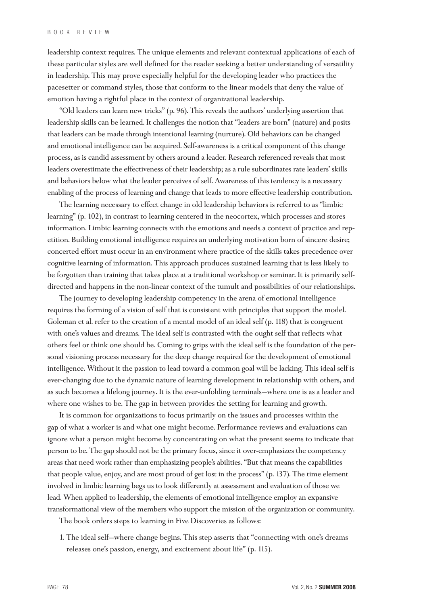leadership context requires. The unique elements and relevant contextual applications of each of these particular styles are well defined for the reader seeking a better understanding of versatility in leadership. This may prove especially helpful for the developing leader who practices the pacesetter or command styles, those that conform to the linear models that deny the value of emotion having a rightful place in the context of organizational leadership.

"Old leaders can learn new tricks" (p. 96). This reveals the authors' underlying assertion that leadership skills can be learned. It challenges the notion that "leaders are born" (nature) and posits that leaders can be made through intentional learning (nurture). Old behaviors can be changed and emotional intelligence can be acquired. Self-awareness is a critical component of this change process, as is candid assessment by others around a leader. Research referenced reveals that most leaders overestimate the effectiveness of their leadership; as a rule subordinates rate leaders' skills and behaviors below what the leader perceives of self. Awareness of this tendency is a necessary enabling of the process of learning and change that leads to more effective leadership contribution.

The learning necessary to effect change in old leadership behaviors is referred to as "limbic learning" (p. 102), in contrast to learning centered in the neocortex, which processes and stores information. Limbic learning connects with the emotions and needs a context of practice and repetition. Building emotional intelligence requires an underlying motivation born of sincere desire; concerted effort must occur in an environment where practice of the skills takes precedence over cognitive learning of information. This approach produces sustained learning that is less likely to be forgotten than training that takes place at a traditional workshop or seminar. It is primarily selfdirected and happens in the non-linear context of the tumult and possibilities of our relationships.

The journey to developing leadership competency in the arena of emotional intelligence requires the forming of a vision of self that is consistent with principles that support the model. Goleman et al. refer to the creation of a mental model of an ideal self (p. 118) that is congruent with one's values and dreams. The ideal self is contrasted with the ought self that reflects what others feel or think one should be. Coming to grips with the ideal self is the foundation of the personal visioning process necessary for the deep change required for the development of emotional intelligence. Without it the passion to lead toward a common goal will be lacking. This ideal self is ever-changing due to the dynamic nature of learning development in relationship with others, and as such becomes a lifelong journey. It is the ever-unfolding terminals—where one is as a leader and where one wishes to be. The gap in between provides the setting for learning and growth.

It is common for organizations to focus primarily on the issues and processes within the gap of what a worker is and what one might become. Performance reviews and evaluations can ignore what a person might become by concentrating on what the present seems to indicate that person to be. The gap should not be the primary focus, since it over-emphasizes the competency areas that need work rather than emphasizing people's abilities. "But that means the capabilities that people value, enjoy, and are most proud of get lost in the process" (p. 137). The time element involved in limbic learning begs us to look differently at assessment and evaluation of those we lead. When applied to leadership, the elements of emotional intelligence employ an expansive transformational view of the members who support the mission of the organization or community.

The book orders steps to learning in Five Discoveries as follows:

1. The ideal self—where change begins. This step asserts that "connecting with one's dreams releases one's passion, energy, and excitement about life" (p. 115).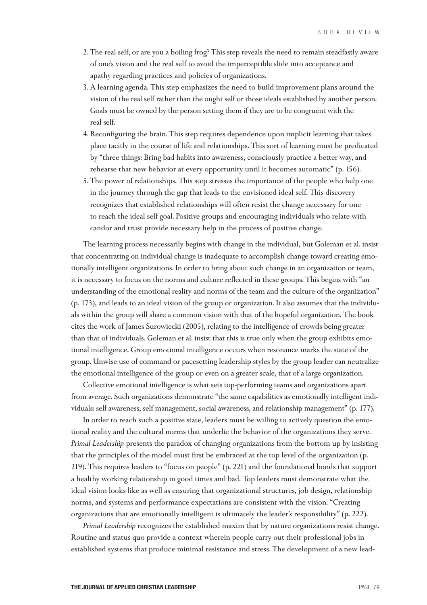- 2. The real self, or are you a boiling frog? This step reveals the need to remain steadfastly aware of one's vision and the real self to avoid the imperceptible slide into acceptance and apathy regarding practices and policies of organizations.
- 3. A learning agenda. This step emphasizes the need to build improvement plans around the vision of the real self rather than the ought self or those ideals established by another person. Goals must be owned by the person setting them if they are to be congruent with the real self.
- 4. Reconfiguring the brain. This step requires dependence upon implicit learning that takes place tacitly in the course of life and relationships. This sort of learning must be predicated by "three things: Bring bad habits into awareness, consciously practice a better way, and rehearse that new behavior at every opportunity until it becomes automatic" (p. 156).
- 5. The power of relationships. This step stresses the importance of the people who help one in the journey through the gap that leads to the envisioned ideal self. This discovery recognizes that established relationships will often resist the change necessary for one to reach the ideal self goal. Positive groups and encouraging individuals who relate with candor and trust provide necessary help in the process of positive change.

The learning process necessarily begins with change in the individual, but Goleman et al. insist that concentrating on individual change is inadequate to accomplish change toward creating emotionally intelligent organizations. In order to bring about such change in an organization or team, it is necessary to focus on the norms and culture reflected in these groups. This begins with "an understanding of the emotional reality and norms of the team and the culture of the organization" (p. 173), and leads to an ideal vision of the group or organization. It also assumes that the individuals within the group will share a common vision with that of the hopeful organization. The book cites the work of James Surowiecki (2005), relating to the intelligence of crowds being greater than that of individuals. Goleman et al. insist that this is true only when the group exhibits emotional intelligence. Group emotional intelligence occurs when resonance marks the state of the group. Unwise use of command or pacesetting leadership styles by the group leader can neutralize the emotional intelligence of the group or even on a greater scale, that of a large organization.

Collective emotional intelligence is what sets top-performing teams and organizations apart from average. Such organizations demonstrate "the same capabilities as emotionally intelligent individuals: self awareness, self management, social awareness, and relationship management" (p. 177).

In order to reach such a positive state, leaders must be willing to actively question the emotional reality and the cultural norms that underlie the behavior of the organizations they serve. *Primal Leadership* presents the paradox of changing organizations from the bottom up by insisting that the principles of the model must first be embraced at the top level of the organization (p. 219). This requires leaders to "focus on people" (p. 221) and the foundational bonds that support a healthy working relationship in good times and bad. Top leaders must demonstrate what the ideal vision looks like as well as ensuring that organizational structures, job design, relationship norms, and systems and performance expectations are consistent with the vision. "Creating organizations that are emotionally intelligent is ultimately the leader's responsibility" (p. 222).

*Primal Leadership* recognizes the established maxim that by nature organizations resist change. Routine and status quo provide a context wherein people carry out their professional jobs in established systems that produce minimal resistance and stress. The development of a new lead